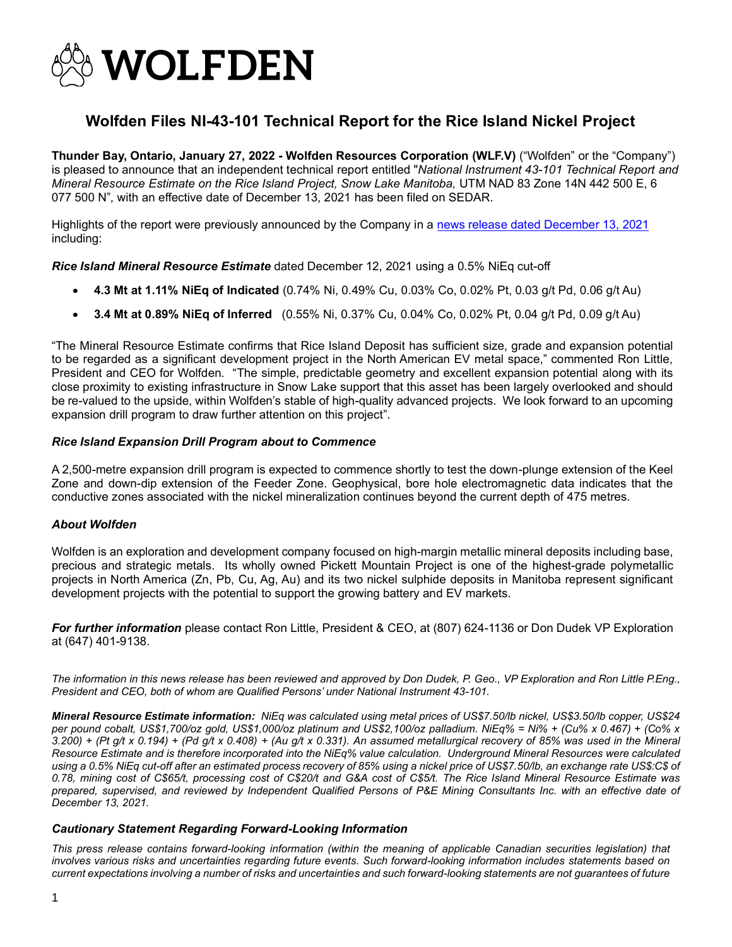

## **Wolfden Files NI-43-101 Technical Report for the Rice Island Nickel Project**

**Thunder Bay, Ontario, January 27, 2022 - Wolfden Resources Corporation (WLF.V)** ("Wolfden" or the "Company") is pleased to announce that an independent technical report entitled "*National Instrument 43-101 Technical Report and Mineral Resource Estimate on the Rice Island Project, Snow Lake Manitoba,* UTM NAD 83 Zone 14N 442 500 E, 6 077 500 N"*,* with an effective date of December 13, 2021 has been filed on SEDAR.

Highlights of the report were previously announced by the Company in a [news release dated December 13, 2021](https://www.wolfdenresources.com/wp-content/uploads/2021/12/WLFDec13-2021.pdf) including:

*Rice Island Mineral Resource Estimate* dated December 12, 2021 using a 0.5% NiEq cut-off

- **4.3 Mt at 1.11% NiEq of Indicated** (0.74% Ni, 0.49% Cu, 0.03% Co, 0.02% Pt, 0.03 g/t Pd, 0.06 g/t Au)
- **3.4 Mt at 0.89% NiEq of Inferred** (0.55% Ni, 0.37% Cu, 0.04% Co, 0.02% Pt, 0.04 g/t Pd, 0.09 g/t Au)

"The Mineral Resource Estimate confirms that Rice Island Deposit has sufficient size, grade and expansion potential to be regarded as a significant development project in the North American EV metal space," commented Ron Little, President and CEO for Wolfden. "The simple, predictable geometry and excellent expansion potential along with its close proximity to existing infrastructure in Snow Lake support that this asset has been largely overlooked and should be re-valued to the upside, within Wolfden's stable of high-quality advanced projects. We look forward to an upcoming expansion drill program to draw further attention on this project".

## *Rice Island Expansion Drill Program about to Commence*

A 2,500-metre expansion drill program is expected to commence shortly to test the down-plunge extension of the Keel Zone and down-dip extension of the Feeder Zone. Geophysical, bore hole electromagnetic data indicates that the conductive zones associated with the nickel mineralization continues beyond the current depth of 475 metres.

## *About Wolfden*

Wolfden is an exploration and development company focused on high-margin metallic mineral deposits including base, precious and strategic metals. Its wholly owned [Pickett Mountain Project](https://www.wolfdenresources.com/wp-content/uploads/2022/01/WLF-Jan-72022.pdf) is one of the highest-grade polymetallic projects in North America (Zn, Pb, Cu, Ag, Au) and its two nickel sulphide deposits in Manitoba represent significant development projects with the potential to support the growing battery and EV markets.

*For further information* please contact Ron Little, President & CEO, at (807) 624-1136 or Don Dudek VP Exploration at (647) 401-9138.

*The information in this news release has been reviewed and approved by Don Dudek, P. Geo., VP Exploration and Ron Little P.Eng., President and CEO, both of whom are Qualified Persons' under National Instrument 43-101.*

*Mineral Resource Estimate information: NiEq was calculated using metal prices of US\$7.50/lb nickel, US\$3.50/lb copper, US\$24 per pound cobalt, US\$1,700/oz gold, US\$1,000/oz platinum and US\$2,100/oz palladium. NiEq% = Ni% + (Cu% x 0.467) + (Co% x 3.200) + (Pt g/t x 0.194) + (Pd g/t x 0.408) + (Au g/t x 0.331). An assumed metallurgical recovery of 85% was used in the Mineral Resource Estimate and is therefore incorporated into the NiEq% value calculation. Underground Mineral Resources were calculated using a 0.5% NiEq cut-off after an estimated process recovery of 85% using a nickel price of US\$7.50/lb, an exchange rate US\$:C\$ of 0.78, mining cost of C\$65/t, processing cost of C\$20/t and G&A cost of C\$5/t. The Rice Island Mineral Resource Estimate was prepared, supervised, and reviewed by Independent Qualified Persons of P&E Mining Consultants Inc. with an effective date of December 13, 2021.*

## *Cautionary Statement Regarding Forward-Looking Information*

*This press release contains forward-looking information (within the meaning of applicable Canadian securities legislation) that involves various risks and uncertainties regarding future events. Such forward-looking information includes statements based on current expectations involving a number of risks and uncertainties and such forward-looking statements are not guarantees of future*